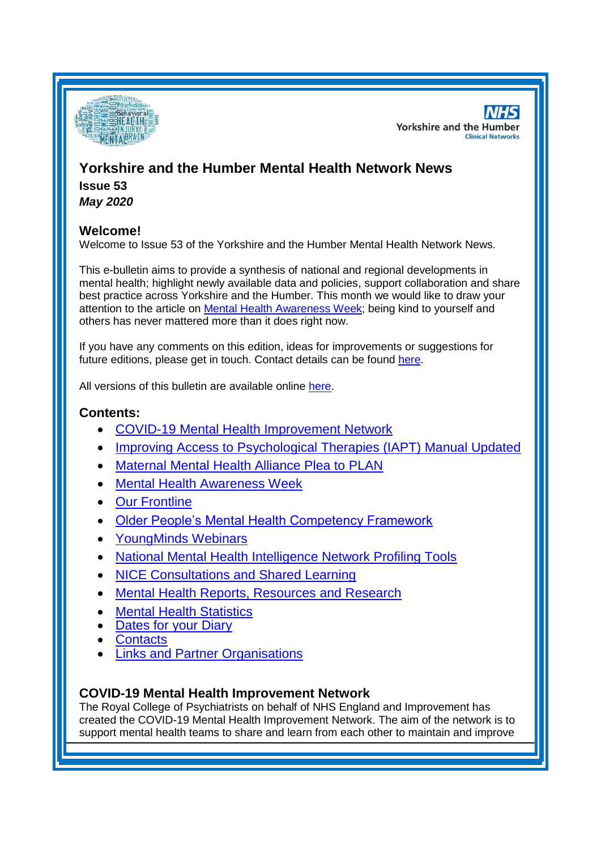

**NHS Yorkshire and the Humber Clinical Networks** 

# **Yorkshire and the Humber Mental Health Network News Issue 53**

*May 2020*

## **Welcome!**

Welcome to Issue 53 of the Yorkshire and the Humber Mental Health Network News.

This e-bulletin aims to provide a synthesis of national and regional developments in mental health; highlight newly available data and policies, support collaboration and share best practice across Yorkshire and the Humber. This month we would like to draw your attention to the article on [Mental Health Awareness Week;](#page-1-0) being kind to yourself and others has never mattered more than it does right now.

If you have any comments on this edition, ideas for improvements or suggestions for future editions, please get in touch. Contact details can be found [here.](#page-5-0)

All versions of this bulletin are available online [here.](http://www.yhscn.nhs.uk/mental-health-clinic/mental-health-network/MH-documents-and-links.php)

## **Contents:**

- [COVID-19 Mental Health Improvement Network](#page-0-0)
- [Improving Access to Psychological Therapies \(IAPT\) Manual Updated](#page-1-1)
- [Maternal Mental Health Alliance Plea to PLAN](#page-1-2)
- [Mental Health Awareness Week](#page-1-0)
- [Our Frontline](#page-2-0)
- [Older People's Mental Health Competency Framework](#page-2-1)
- [YoungMinds Webinars](#page-2-2)
- [National Mental Health Intelligence Network Profiling Tools](#page-0-1)
- [NICE Consultations and Shared Learning](#page-3-0)
- [Mental Health Reports, Resources and](#page-3-0) Research
- **[Mental Health Statistics](#page-4-0)**
- **[Dates for your Diary](#page-4-1)**
- **[Contacts](#page-5-0)**
- **[Links and Partner Organisations](#page-6-0)**

## <span id="page-0-1"></span><span id="page-0-0"></span>**COVID-19 Mental Health Improvement Network**

The Royal College of Psychiatrists on behalf of NHS England and Improvement has created the COVID-19 Mental Health Improvement Network. The aim of the network is to support mental health teams to share and learn from each other to maintain and improve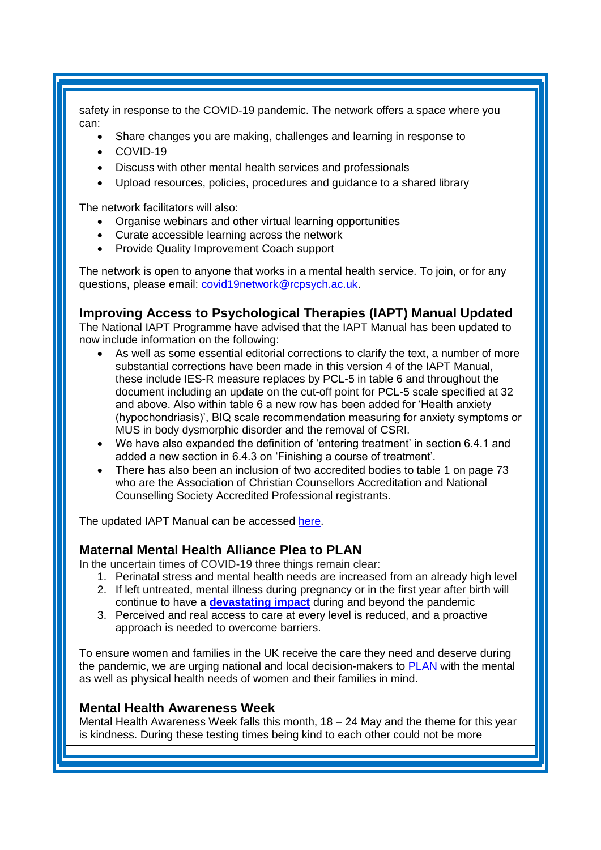safety in response to the COVID-19 pandemic. The network offers a space where you can:

- Share changes you are making, challenges and learning in response to
- COVID-19
- Discuss with other mental health services and professionals
- Upload resources, policies, procedures and guidance to a shared library

The network facilitators will also:

- Organise webinars and other virtual learning opportunities
- Curate accessible learning across the network
- Provide Quality Improvement Coach support

The network is open to anyone that works in a mental health service. To join, or for any questions, please email: [covid19network@rcpsych.ac.uk.](mailto:covid19network@rcpsych.ac.uk)

## <span id="page-1-1"></span>**Improving Access to Psychological Therapies (IAPT) Manual Updated**

The National IAPT Programme have advised that the IAPT Manual has been updated to now include information on the following:

- As well as some essential editorial corrections to clarify the text, a number of more substantial corrections have been made in this version 4 of the IAPT Manual, these include IES-R measure replaces by PCL-5 in table 6 and throughout the document including an update on the cut-off point for PCL-5 scale specified at 32 and above. Also within table 6 a new row has been added for 'Health anxiety (hypochondriasis)', BIQ scale recommendation measuring for anxiety symptoms or MUS in body dysmorphic disorder and the removal of CSRI.
- We have also expanded the definition of 'entering treatment' in section 6.4.1 and added a new section in 6.4.3 on 'Finishing a course of treatment'.
- There has also been an inclusion of two accredited bodies to table 1 on page 73 who are the Association of Christian Counsellors Accreditation and National Counselling Society Accredited Professional registrants.

The updated IAPT Manual can be accessed [here.](https://www.england.nhs.uk/publication/the-improving-access-to-psychological-therapies-manual/)

#### <span id="page-1-2"></span>**Maternal Mental Health Alliance Plea to PLAN**

In the uncertain times of COVID-19 three things remain clear:

- 1. Perinatal stress and mental health needs are increased from an already high level
- 2. If left untreated, mental illness during pregnancy or in the first year after birth will continue to have a **[devastating impact](https://maternalmentalhealthalliance.us11.list-manage.com/track/click?u=aae56d1cd7b4577cc5310d3ae&id=b593ea25ae&e=402c15086a)** during and beyond the pandemic
- 3. Perceived and real access to care at every level is reduced, and a proactive approach is needed to overcome barriers.

To ensure women and families in the UK receive the care they need and deserve during the pandemic, we are urging national and local decision-makers to [PLAN](https://maternalmentalhealthalliance.org/wp-content/uploads/MMHA-PLAN-for-perinatal-mental-health-during-COVID19.pdf) with the mental as well as physical health needs of women and their families in mind.

#### <span id="page-1-0"></span>**Mental Health Awareness Week**

Mental Health Awareness Week falls this month, 18 – 24 May and the theme for this year is kindness. During these testing times being kind to each other could not be more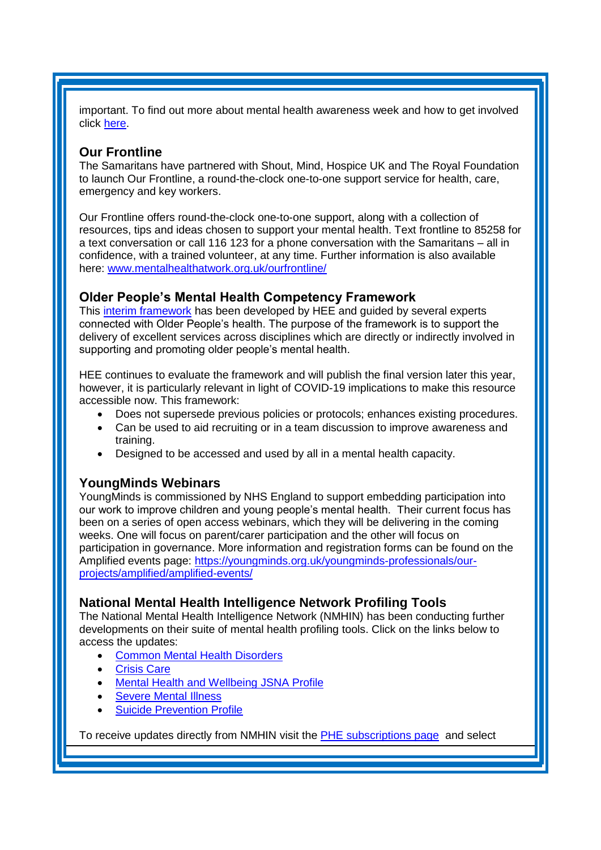important. To find out more about mental health awareness week and how to get involved click [here.](https://www.mentalhealth.org.uk/campaigns/mental-health-awareness-week)

#### <span id="page-2-0"></span>**Our Frontline**

The Samaritans have partnered with Shout, Mind, Hospice UK and The Royal Foundation to launch Our Frontline, a round-the-clock one-to-one support service for health, care, emergency and key workers.

Our Frontline offers round-the-clock one-to-one support, along with a collection of resources, tips and ideas chosen to support your mental health. Text frontline to 85258 for a text conversation or call 116 123 for a phone conversation with the Samaritans – all in confidence, with a trained volunteer, at any time. Further information is also available here: [www.mentalhealthatwork.org.uk/ourfrontline/](http://www.mentalhealthatwork.org.uk/ourfrontline/)

### <span id="page-2-1"></span>**Older People's Mental Health Competency Framework**

This [interim framework](https://www.e-lfh.org.uk/programmes/mental-health-training-resources/) has been developed by HEE and guided by several experts connected with Older People's health. The purpose of the framework is to support the delivery of excellent services across disciplines which are directly or indirectly involved in supporting and promoting older people's mental health.

HEE continues to evaluate the framework and will publish the final version later this year, however, it is particularly relevant in light of COVID-19 implications to make this resource accessible now. This framework:

- Does not supersede previous policies or protocols; enhances existing procedures.
- Can be used to aid recruiting or in a team discussion to improve awareness and training.
- Designed to be accessed and used by all in a mental health capacity.

#### <span id="page-2-2"></span>**YoungMinds Webinars**

YoungMinds is commissioned by NHS England to support embedding participation into our work to improve children and young people's mental health. Their current focus has been on a series of open access webinars, which they will be delivering in the coming weeks. One will focus on parent/carer participation and the other will focus on participation in governance. More information and registration forms can be found on the Amplified events page: [https://youngminds.org.uk/youngminds-professionals/our](https://youngminds.org.uk/youngminds-professionals/our-projects/amplified/amplified-events/)[projects/amplified/amplified-events/](https://youngminds.org.uk/youngminds-professionals/our-projects/amplified/amplified-events/)

#### **National Mental Health Intelligence Network Profiling Tools**

The National Mental Health Intelligence Network (NMHIN) has been conducting further developments on their suite of mental health profiling tools. Click on the links below to access the updates:

- [Common Mental Health Disorders](http://links.govdelivery.com/track?type=click&enid=ZWFzPTEmbXNpZD0mYXVpZD0mbWFpbGluZ2lkPTIwMTcxMjA1LjgxOTE2MDgxJm1lc3NhZ2VpZD1NREItUFJELUJVTC0yMDE3MTIwNS44MTkxNjA4MSZkYXRhYmFzZWlkPTEwMDEmc2VyaWFsPTE2OTcwMTE4JmVtYWlsaWQ9c2FyYWguYm91bEBuaHMubmV0JnVzZXJpZD1zYXJhaC5ib3VsQG5ocy5uZXQmdGFyZ2V0aWQ9JmZsPSZleHRyYT1NdWx0aXZhcmlhdGVJZD0mJiY=&&&104&&&https://fingertips.phe.org.uk/profile-group/mental-health/profile/common-mental-disorders)
- **[Crisis Care](http://links.govdelivery.com/track?type=click&enid=ZWFzPTEmbXNpZD0mYXVpZD0mbWFpbGluZ2lkPTIwMTcxMjA1LjgxOTE2MDgxJm1lc3NhZ2VpZD1NREItUFJELUJVTC0yMDE3MTIwNS44MTkxNjA4MSZkYXRhYmFzZWlkPTEwMDEmc2VyaWFsPTE2OTcwMTE4JmVtYWlsaWQ9c2FyYWguYm91bEBuaHMubmV0JnVzZXJpZD1zYXJhaC5ib3VsQG5ocy5uZXQmdGFyZ2V0aWQ9JmZsPSZleHRyYT1NdWx0aXZhcmlhdGVJZD0mJiY=&&&105&&&https://fingertips.phe.org.uk/profile-group/mental-health/profile/crisis-care)**
- Mental Health [and Wellbeing JSNA Profile](http://links.govdelivery.com/track?type=click&enid=ZWFzPTEmbXNpZD0mYXVpZD0mbWFpbGluZ2lkPTIwMTcxMjA1LjgxOTE2MDgxJm1lc3NhZ2VpZD1NREItUFJELUJVTC0yMDE3MTIwNS44MTkxNjA4MSZkYXRhYmFzZWlkPTEwMDEmc2VyaWFsPTE2OTcwMTE4JmVtYWlsaWQ9c2FyYWguYm91bEBuaHMubmV0JnVzZXJpZD1zYXJhaC5ib3VsQG5ocy5uZXQmdGFyZ2V0aWQ9JmZsPSZleHRyYT1NdWx0aXZhcmlhdGVJZD0mJiY=&&&106&&&https://fingertips.phe.org.uk/profile-group/mental-health/profile/mh-jsna)
- [Severe Mental](http://links.govdelivery.com/track?type=click&enid=ZWFzPTEmbXNpZD0mYXVpZD0mbWFpbGluZ2lkPTIwMTcxMjA1LjgxOTE2MDgxJm1lc3NhZ2VpZD1NREItUFJELUJVTC0yMDE3MTIwNS44MTkxNjA4MSZkYXRhYmFzZWlkPTEwMDEmc2VyaWFsPTE2OTcwMTE4JmVtYWlsaWQ9c2FyYWguYm91bEBuaHMubmV0JnVzZXJpZD1zYXJhaC5ib3VsQG5ocy5uZXQmdGFyZ2V0aWQ9JmZsPSZleHRyYT1NdWx0aXZhcmlhdGVJZD0mJiY=&&&108&&&https://fingertips.phe.org.uk/profile-group/mental-health/profile/severe-mental-illness) Illness
- **[Suicide Prevention Profile](http://links.govdelivery.com/track?type=click&enid=ZWFzPTEmbXNpZD0mYXVpZD0mbWFpbGluZ2lkPTIwMTgwNjA1LjkwNzEwNzExJm1lc3NhZ2VpZD1NREItUFJELUJVTC0yMDE4MDYwNS45MDcxMDcxMSZkYXRhYmFzZWlkPTEwMDEmc2VyaWFsPTE3MDEzODU4JmVtYWlsaWQ9c2FyYWguYm91bEBuaHMubmV0JnVzZXJpZD1zYXJhaC5ib3VsQG5ocy5uZXQmdGFyZ2V0aWQ9JmZsPSZleHRyYT1NdWx0aXZhcmlhdGVJZD0mJiY=&&&104&&&https://fingertips.phe.org.uk/profile-group/mental-health/profile/suicide)**

To receive updates directly from NMHIN visit the [PHE subscriptions page](http://links.govdelivery.com/track?type=click&enid=ZWFzPTEmbXNpZD0mYXVpZD0mbWFpbGluZ2lkPTIwMTgwMjA3Ljg0OTY1MzgxJm1lc3NhZ2VpZD1NREItUFJELUJVTC0yMDE4MDIwNy44NDk2NTM4MSZkYXRhYmFzZWlkPTEwMDEmc2VyaWFsPTE2OTgzNDk5JmVtYWlsaWQ9c2FyYWguYm91bEBuaHMubmV0JnVzZXJpZD1zYXJhaC5ib3VsQG5ocy5uZXQmdGFyZ2V0aWQ9JmZsPSZleHRyYT1NdWx0aXZhcmlhdGVJZD0mJiY=&&&107&&&https://public.govdelivery.com/accounts/UKHPA/subscribers/new?preferences=true) and select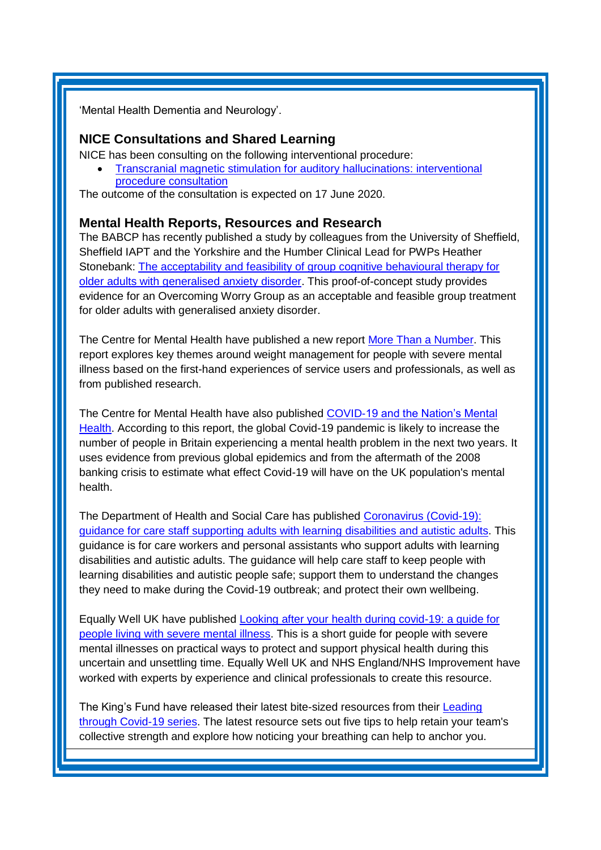<span id="page-3-0"></span>'Mental Health Dementia and Neurology'.

#### **NICE Consultations and Shared Learning**

NICE has been consulting on the following interventional procedure:

• [Transcranial magnetic stimulation for auditory](https://www.nice.org.uk/guidance/indevelopment/gid-ipg10141/consultation/html-content) hallucinations: interventional [procedure consultation](https://www.nice.org.uk/guidance/indevelopment/gid-ipg10141/consultation/html-content)

The outcome of the consultation is expected on 17 June 2020.

#### **Mental Health Reports, Resources and Research**

The BABCP has recently published a study by colleagues from the University of Sheffield, Sheffield IAPT and the Yorkshire and the Humber Clinical Lead for PWPs Heather Stonebank: [The acceptability and feasibility of group cognitive behavioural therapy for](https://www.cambridge.org/core/journals/behavioural-and-cognitive-psychotherapy/article/acceptability-and-feasibility-of-group-cognitive-behavioural-therapy-for-older-adults-with-generalised-anxiety-disorder/707FC1042F1771CB4E3DF4E174398155)  [older adults with generalised anxiety disorder.](https://www.cambridge.org/core/journals/behavioural-and-cognitive-psychotherapy/article/acceptability-and-feasibility-of-group-cognitive-behavioural-therapy-for-older-adults-with-generalised-anxiety-disorder/707FC1042F1771CB4E3DF4E174398155) This proof-of-concept study provides evidence for an Overcoming Worry Group as an acceptable and feasible group treatment for older adults with generalised anxiety disorder.

The Centre for Mental Health have published a new report [More Than a Number.](https://www.centreformentalhealth.org.uk/sites/default/files/2020-03/CentreforMH_HWBA_WeightManagement.pdf) This report explores key themes around weight management for people with severe mental illness based on the first-hand experiences of service users and professionals, as well as from published research.

The Centre for Mental Health have also published [COVID-19 and the Nation's Mental](https://www.centreformentalhealth.org.uk/sites/default/files/2020-05/CentreforMentalHealth_COVID_MH_Forecasting_May20.pdf)  [Health.](https://www.centreformentalhealth.org.uk/sites/default/files/2020-05/CentreforMentalHealth_COVID_MH_Forecasting_May20.pdf) According to this report, the global Covid-19 pandemic is likely to increase the number of people in Britain experiencing a mental health problem in the next two years. It uses evidence from previous global epidemics and from the aftermath of the 2008 banking crisis to estimate what effect Covid-19 will have on the UK population's mental health.

The Department of Health and Social Care has published [Coronavirus \(Covid-19\):](https://www.gov.uk/government/publications/covid-19-supporting-adults-with-learning-disabilities-and-autistic-adults/coronavirus-covid-19-guidance-for-care-staff-supporting-adults-with-learning-disabilities-and-autistic-adults?utm_source=The%20King%27s%20Fund%20newsletters%20%28main%20account%29&utm_medium=email&utm_campaign=11498056_NEWSL_HMP%202020-04-28&dm_i=21A8,6UFYG,FLWT3F,RG8QO,1)  [guidance for care staff supporting adults with learning disabilities and autistic adults.](https://www.gov.uk/government/publications/covid-19-supporting-adults-with-learning-disabilities-and-autistic-adults/coronavirus-covid-19-guidance-for-care-staff-supporting-adults-with-learning-disabilities-and-autistic-adults?utm_source=The%20King%27s%20Fund%20newsletters%20%28main%20account%29&utm_medium=email&utm_campaign=11498056_NEWSL_HMP%202020-04-28&dm_i=21A8,6UFYG,FLWT3F,RG8QO,1) This guidance is for care workers and personal assistants who support adults with learning disabilities and autistic adults. The guidance will help care staff to keep people with learning disabilities and autistic people safe; support them to understand the changes they need to make during the Covid-19 outbreak; and protect their own wellbeing.

Equally Well UK have published [Looking after your health during covid-19: a guide for](https://equallywell.co.uk/wp-content/uploads/2020/05/Equally-Well-Covid19-Resource-Final-1.pdf)  [people living with severe mental illness.](https://equallywell.co.uk/wp-content/uploads/2020/05/Equally-Well-Covid19-Resource-Final-1.pdf) This is a short guide for people with severe mental illnesses on practical ways to protect and support physical health during this uncertain and unsettling time. Equally Well UK and NHS England/NHS Improvement have worked with experts by experience and clinical professionals to create this resource.

The King's Fund have released their latest bite-sized resources from their [Leading](https://www.kingsfund.org.uk/projects/leading-through-covid-19?utm_source=The%20King%27s%20Fund%20newsletters%20%28main%20account%29&utm_medium=email&utm_campaign=11511657_NEWSL_The%20Weekly%20Update%202020-05-01&utm_content=leading_through_covid_logo&dm_i=21A8,6UQG9,FLWT3F,RHJD7,1)  [through Covid-19 series.](https://www.kingsfund.org.uk/projects/leading-through-covid-19?utm_source=The%20King%27s%20Fund%20newsletters%20%28main%20account%29&utm_medium=email&utm_campaign=11511657_NEWSL_The%20Weekly%20Update%202020-05-01&utm_content=leading_through_covid_logo&dm_i=21A8,6UQG9,FLWT3F,RHJD7,1) The latest resource sets out five tips to help retain your team's collective strength and explore how noticing your breathing can help to anchor you.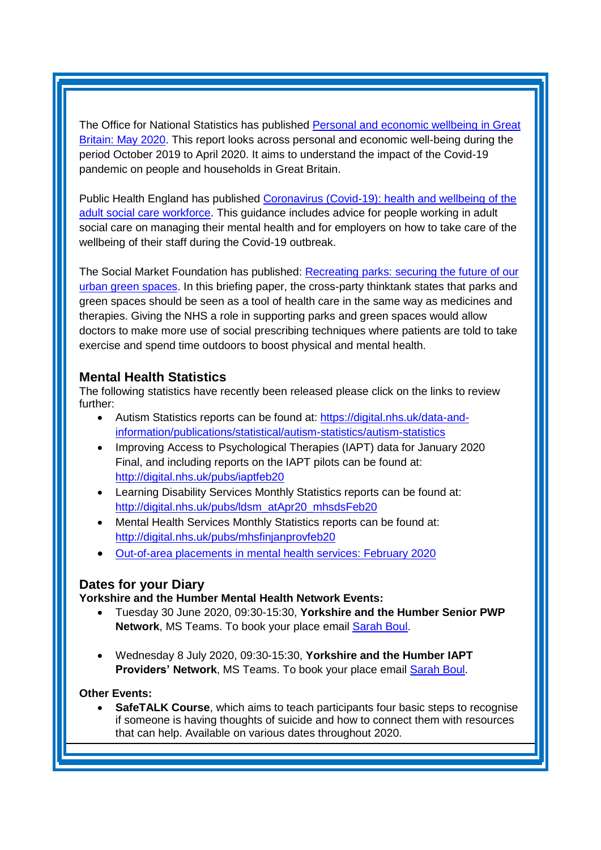The Office for National Statistics has published Personal and economic wellbeing in Great [Britain: May 2020.](https://www.ons.gov.uk/peoplepopulationandcommunity/wellbeing/bulletins/personalandeconomicwellbeingintheuk/may2020?utm_source=The%20King%27s%20Fund%20newsletters%20%28main%20account%29&utm_medium=email&utm_campaign=11506485_NEWSL_HWB_2020-05-11&dm_i=21A8,6UMGL,FLWT3F,RIFN4,1) This report looks across personal and economic well-being during the period October 2019 to April 2020. It aims to understand the impact of the Covid-19 pandemic on people and households in Great Britain.

Public Health England has published [Coronavirus \(Covid-19\): health and wellbeing of the](https://www.gov.uk/government/publications/coronavirus-covid-19-health-and-wellbeing-of-the-adult-social-care-workforce/health-and-wellbeing-of-the-adult-social-care-workforce?utm_source=The%20King%27s%20Fund%20newsletters%20%28main%20account%29&utm_medium=email&utm_campaign=11522371_NEWSL_HMP%202020-05-12&dm_i=21A8,6UYPV,FLWT3F,RJ4S9,1)  [adult social care workforce.](https://www.gov.uk/government/publications/coronavirus-covid-19-health-and-wellbeing-of-the-adult-social-care-workforce/health-and-wellbeing-of-the-adult-social-care-workforce?utm_source=The%20King%27s%20Fund%20newsletters%20%28main%20account%29&utm_medium=email&utm_campaign=11522371_NEWSL_HMP%202020-05-12&dm_i=21A8,6UYPV,FLWT3F,RJ4S9,1) This guidance includes advice for people working in adult social care on managing their mental health and for employers on how to take care of the wellbeing of their staff during the Covid-19 outbreak.

The Social Market Foundation has published: [Recreating parks: securing the future of our](http://www.smf.co.uk/wp-content/uploads/2020/05/Recreating-parks.pdf?utm_source=The%20King%27s%20Fund%20newsletters%20%28main%20account%29&utm_medium=email&utm_campaign=11544623_NEWSL_HMP%202020-05-19&dm_i=21A8,6VFVZ,FLWT3F,RLWBS,1)  [urban green spaces.](http://www.smf.co.uk/wp-content/uploads/2020/05/Recreating-parks.pdf?utm_source=The%20King%27s%20Fund%20newsletters%20%28main%20account%29&utm_medium=email&utm_campaign=11544623_NEWSL_HMP%202020-05-19&dm_i=21A8,6VFVZ,FLWT3F,RLWBS,1) In this briefing paper, the cross-party thinktank states that parks and green spaces should be seen as a tool of health care in the same way as medicines and therapies. Giving the NHS a role in supporting parks and green spaces would allow doctors to make more use of social prescribing techniques where patients are told to take exercise and spend time outdoors to boost physical and mental health.

## <span id="page-4-0"></span>**Mental Health Statistics**

The following statistics have recently been released please click on the links to review further:

- <span id="page-4-1"></span>• Autism Statistics reports can be found at: [https://digital.nhs.uk/data-and](https://elinkeu.clickdimensions.com/c/6/?T=NTgyNTUzNzk%3AcDEtYjIwMTI2LTk2ODI5NWM0ZDc0ZDRhNmFiY2M5ZjcxZTgwNWQ1NjQz%3Ac2FyYWguYm91bEBuaHMubmV0%3AY29udGFjdC0wMWE0ZjMzNGMyMzVlOTExYTllNTAwMGQzYTJiYmRhMS1mYTBkNjhmZDY0OWI0MjI3OTE4OTJjMDdjNjMwNjJhOA%3AZmFsc2U%3AMjM%3A%3AaHR0cHM6Ly9kaWdpdGFsLm5ocy51ay9kYXRhLWFuZC1pbmZvcm1hdGlvbi9wdWJsaWNhdGlvbnMvc3RhdGlzdGljYWwvYXV0aXNtLXN0YXRpc3RpY3MvYXV0aXNtLXN0YXRpc3RpY3M_X2NsZGVlPWMyRnlZV2d1WW05MWJFQnVhSE11Ym1WMCZyZWNpcGllbnRpZD1jb250YWN0LTAxYTRmMzM0YzIzNWU5MTFhOWU1MDAwZDNhMmJiZGExLWZhMGQ2OGZkNjQ5YjQyMjc5MTg5MmMwN2M2MzA2MmE4JmVzaWQ9MzBjZjg2ZjEtZTk4ZC1lYTExLWE4MTEtMDAwZDNhODZiNDEw&K=gLmQMjFPWOX0bSJDu76Dug)[information/publications/statistical/autism-statistics/autism-statistics](https://elinkeu.clickdimensions.com/c/6/?T=NTgyNTUzNzk%3AcDEtYjIwMTI2LTk2ODI5NWM0ZDc0ZDRhNmFiY2M5ZjcxZTgwNWQ1NjQz%3Ac2FyYWguYm91bEBuaHMubmV0%3AY29udGFjdC0wMWE0ZjMzNGMyMzVlOTExYTllNTAwMGQzYTJiYmRhMS1mYTBkNjhmZDY0OWI0MjI3OTE4OTJjMDdjNjMwNjJhOA%3AZmFsc2U%3AMjM%3A%3AaHR0cHM6Ly9kaWdpdGFsLm5ocy51ay9kYXRhLWFuZC1pbmZvcm1hdGlvbi9wdWJsaWNhdGlvbnMvc3RhdGlzdGljYWwvYXV0aXNtLXN0YXRpc3RpY3MvYXV0aXNtLXN0YXRpc3RpY3M_X2NsZGVlPWMyRnlZV2d1WW05MWJFQnVhSE11Ym1WMCZyZWNpcGllbnRpZD1jb250YWN0LTAxYTRmMzM0YzIzNWU5MTFhOWU1MDAwZDNhMmJiZGExLWZhMGQ2OGZkNjQ5YjQyMjc5MTg5MmMwN2M2MzA2MmE4JmVzaWQ9MzBjZjg2ZjEtZTk4ZC1lYTExLWE4MTEtMDAwZDNhODZiNDEw&K=gLmQMjFPWOX0bSJDu76Dug)
- Improving Access to Psychological Therapies (IAPT) data for January 2020 Final, and including reports on the IAPT pilots can be found at: [http://digital.nhs.uk/pubs/iaptfeb20](https://elinkeu.clickdimensions.com/c/6/?T=NTgyNTUzNzk%3AcDEtYjIwMTI2LTk2ODI5NWM0ZDc0ZDRhNmFiY2M5ZjcxZTgwNWQ1NjQz%3Ac2FyYWguYm91bEBuaHMubmV0%3AY29udGFjdC0wMWE0ZjMzNGMyMzVlOTExYTllNTAwMGQzYTJiYmRhMS1mYTBkNjhmZDY0OWI0MjI3OTE4OTJjMDdjNjMwNjJhOA%3AZmFsc2U%3AMjU%3A%3AaHR0cDovL2RpZ2l0YWwubmhzLnVrL3B1YnMvaWFwdGZlYjIwP19jbGRlZT1jMkZ5WVdndVltOTFiRUJ1YUhNdWJtVjAmcmVjaXBpZW50aWQ9Y29udGFjdC0wMWE0ZjMzNGMyMzVlOTExYTllNTAwMGQzYTJiYmRhMS1mYTBkNjhmZDY0OWI0MjI3OTE4OTJjMDdjNjMwNjJhOCZlc2lkPTMwY2Y4NmYxLWU5OGQtZWExMS1hODExLTAwMGQzYTg2YjQxMA&K=i_XpEw84vX8DuMb_BNijqQ)
- Learning Disability Services Monthly Statistics reports can be found at: [http://digital.nhs.uk/pubs/ldsm\\_atApr20\\_mhsdsFeb20](https://elinkeu.clickdimensions.com/c/6/?T=NTgyNTUzNzk%3AcDEtYjIwMTI2LTk2ODI5NWM0ZDc0ZDRhNmFiY2M5ZjcxZTgwNWQ1NjQz%3Ac2FyYWguYm91bEBuaHMubmV0%3AY29udGFjdC0wMWE0ZjMzNGMyMzVlOTExYTllNTAwMGQzYTJiYmRhMS1mYTBkNjhmZDY0OWI0MjI3OTE4OTJjMDdjNjMwNjJhOA%3AZmFsc2U%3AMjI%3A%3AaHR0cDovL2RpZ2l0YWwubmhzLnVrL3B1YnMvbGRzbV9hdEFwcjIwX21oc2RzRmViMjA_X2NsZGVlPWMyRnlZV2d1WW05MWJFQnVhSE11Ym1WMCZyZWNpcGllbnRpZD1jb250YWN0LTAxYTRmMzM0YzIzNWU5MTFhOWU1MDAwZDNhMmJiZGExLWZhMGQ2OGZkNjQ5YjQyMjc5MTg5MmMwN2M2MzA2MmE4JmVzaWQ9MzBjZjg2ZjEtZTk4ZC1lYTExLWE4MTEtMDAwZDNhODZiNDEw&K=7_KFdQuCeMml-o0ZMW_TjQ)
- Mental Health Services Monthly Statistics reports can be found at: [http://digital.nhs.uk/pubs/mhsfinjanprovfeb20](https://elinkeu.clickdimensions.com/c/6/?T=NTgyNTUzNzk%3AcDEtYjIwMTI2LTk2ODI5NWM0ZDc0ZDRhNmFiY2M5ZjcxZTgwNWQ1NjQz%3Ac2FyYWguYm91bEBuaHMubmV0%3AY29udGFjdC0wMWE0ZjMzNGMyMzVlOTExYTllNTAwMGQzYTJiYmRhMS1mYTBkNjhmZDY0OWI0MjI3OTE4OTJjMDdjNjMwNjJhOA%3AZmFsc2U%3AMTg%3A%3AaHR0cDovL2RpZ2l0YWwubmhzLnVrL3B1YnMvbWhzZmluamFucHJvdmZlYjIwP19jbGRlZT1jMkZ5WVdndVltOTFiRUJ1YUhNdWJtVjAmcmVjaXBpZW50aWQ9Y29udGFjdC0wMWE0ZjMzNGMyMzVlOTExYTllNTAwMGQzYTJiYmRhMS1mYTBkNjhmZDY0OWI0MjI3OTE4OTJjMDdjNjMwNjJhOCZlc2lkPTMwY2Y4NmYxLWU5OGQtZWExMS1hODExLTAwMGQzYTg2YjQxMA&K=wE0gfzvbXaRsNt5qDl9-Xg)
- [Out-of-area placements in mental health services: February 2020](https://kingsfundmail.org.uk/21A8-6V9M1-FLWT3F-423WN9-1/c.aspx)

## **Dates for your Diary**

**Yorkshire and the Humber Mental Health Network Events:**

- Tuesday 30 June 2020, 09:30-15:30, **Yorkshire and the Humber Senior PWP Network**, MS Teams. To book your place email [Sarah Boul.](mailto:sarah.boul@nhs.net)
- Wednesday 8 July 2020, 09:30-15:30, **Yorkshire and the Humber IAPT Providers' Network**, MS Teams. To book your place email [Sarah Boul.](mailto:sarah.boul@nhs.net)

#### **Other Events:**

**SafeTALK Course**, which aims to teach participants four basic steps to recognise if someone is having thoughts of suicide and how to connect them with resources that can help. Available on various dates throughout 2020.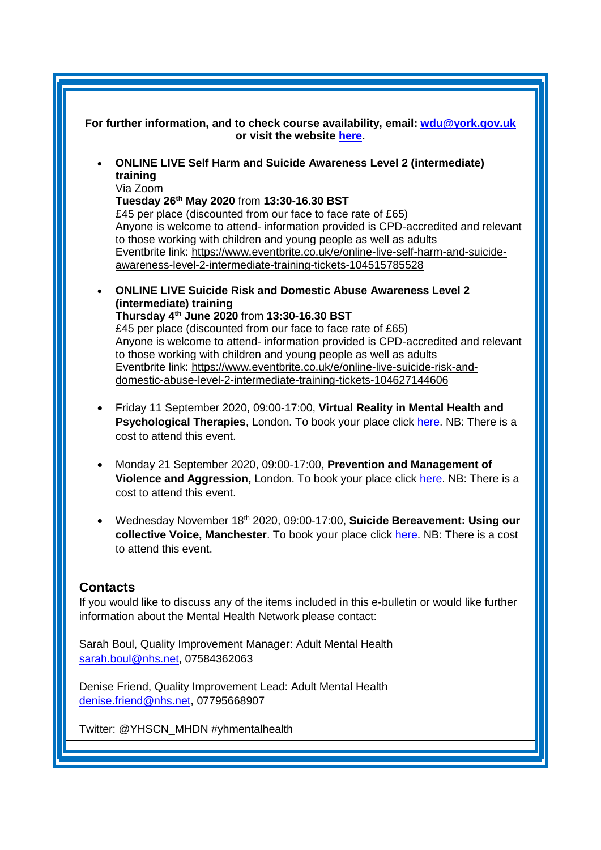<span id="page-5-0"></span>

| For further information, and to check course availability, email: wdu@york.gov.uk<br>or visit the website here.                                                |
|----------------------------------------------------------------------------------------------------------------------------------------------------------------|
| <b>ONLINE LIVE Self Harm and Suicide Awareness Level 2 (intermediate)</b><br>training                                                                          |
| Via Zoom<br>Tuesday 26th May 2020 from 13:30-16.30 BST                                                                                                         |
| £45 per place (discounted from our face to face rate of £65)                                                                                                   |
| Anyone is welcome to attend- information provided is CPD-accredited and relevant                                                                               |
| to those working with children and young people as well as adults<br>Eventbrite link: https://www.eventbrite.co.uk/e/online-live-self-harm-and-suicide-        |
| awareness-level-2-intermediate-training-tickets-104515785528                                                                                                   |
| <b>ONLINE LIVE Suicide Risk and Domestic Abuse Awareness Level 2</b><br>(intermediate) training                                                                |
| Thursday 4th June 2020 from 13:30-16.30 BST                                                                                                                    |
| £45 per place (discounted from our face to face rate of £65)                                                                                                   |
| Anyone is welcome to attend- information provided is CPD-accredited and relevant<br>to those working with children and young people as well as adults          |
| Eventbrite link: https://www.eventbrite.co.uk/e/online-live-suicide-risk-and-                                                                                  |
| domestic-abuse-level-2-intermediate-training-tickets-104627144606                                                                                              |
| Friday 11 September 2020, 09:00-17:00, Virtual Reality in Mental Health and<br>٠                                                                               |
| Psychological Therapies, London. To book your place click here. NB: There is a<br>cost to attend this event.                                                   |
| Monday 21 September 2020, 09:00-17:00, Prevention and Management of<br>٠                                                                                       |
| Violence and Aggression, London. To book your place click here. NB: There is a<br>cost to attend this event.                                                   |
| Wednesday November 18th 2020, 09:00-17:00, Suicide Bereavement: Using our                                                                                      |
| collective Voice, Manchester. To book your place click here. NB: There is a cost<br>to attend this event.                                                      |
| <b>Contacts</b>                                                                                                                                                |
| If you would like to discuss any of the items included in this e-bulletin or would like further<br>information about the Mental Health Network please contact: |
| Sarah Boul, Quality Improvement Manager: Adult Mental Health<br>sarah.boul@nhs.net, 07584362063                                                                |
| Denise Friend, Quality Improvement Lead: Adult Mental Health<br>denise.friend@nhs.net, 07795668907                                                             |
| Twitter: @YHSCN_MHDN #yhmentalhealth                                                                                                                           |